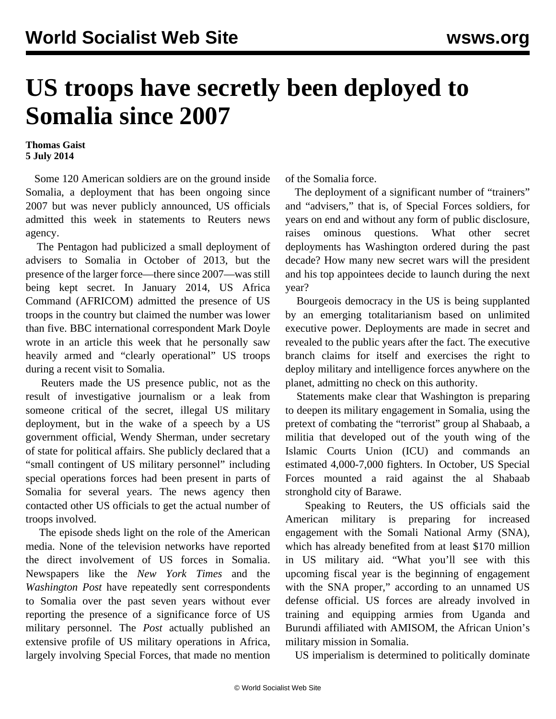## **US troops have secretly been deployed to Somalia since 2007**

## **Thomas Gaist 5 July 2014**

 Some 120 American soldiers are on the ground inside Somalia, a deployment that has been ongoing since 2007 but was never publicly announced, US officials admitted this week in statements to Reuters news agency.

 The Pentagon had publicized a small deployment of advisers to Somalia in October of 2013, but the presence of the larger force—there since 2007—was still being kept secret. In January 2014, US Africa Command (AFRICOM) admitted the presence of US troops in the country but claimed the number was lower than five. BBC international correspondent Mark Doyle wrote in an article this week that he personally saw heavily armed and "clearly operational" US troops during a recent visit to Somalia.

 Reuters made the US presence public, not as the result of investigative journalism or a leak from someone critical of the secret, illegal US military deployment, but in the wake of a speech by a US government official, Wendy Sherman, under secretary of state for political affairs. She publicly declared that a "small contingent of US military personnel" including special operations forces had been present in parts of Somalia for several years. The news agency then contacted other US officials to get the actual number of troops involved.

 The episode sheds light on the role of the American media. None of the television networks have reported the direct involvement of US forces in Somalia. Newspapers like the *New York Times* and the *Washington Post* have repeatedly sent correspondents to Somalia over the past seven years without ever reporting the presence of a significance force of US military personnel. The *Post* actually published an extensive profile of US military operations in Africa, largely involving Special Forces, that made no mention

of the Somalia force.

The deployment of a significant number of "trainers" and "advisers," that is, of Special Forces soldiers, for years on end and without any form of public disclosure, raises ominous questions. What other secret deployments has Washington ordered during the past decade? How many new secret wars will the president and his top appointees decide to launch during the next year?

 Bourgeois democracy in the US is being supplanted by an emerging totalitarianism based on unlimited executive power. Deployments are made in secret and revealed to the public years after the fact. The executive branch claims for itself and exercises the right to deploy military and intelligence forces anywhere on the planet, admitting no check on this authority.

 Statements make clear that Washington is preparing to deepen its military engagement in Somalia, using the pretext of combating the "terrorist" group al Shabaab, a militia that developed out of the youth wing of the Islamic Courts Union (ICU) and commands an estimated 4,000-7,000 fighters. In October, US Special Forces mounted a raid against the al Shabaab stronghold city of Barawe.

 Speaking to Reuters, the US officials said the American military is preparing for increased engagement with the Somali National Army (SNA), which has already benefited from at least \$170 million in US military aid. "What you'll see with this upcoming fiscal year is the beginning of engagement with the SNA proper," according to an unnamed US defense official. US forces are already involved in training and equipping armies from Uganda and Burundi affiliated with AMISOM, the African Union's military mission in Somalia.

US imperialism is determined to politically dominate